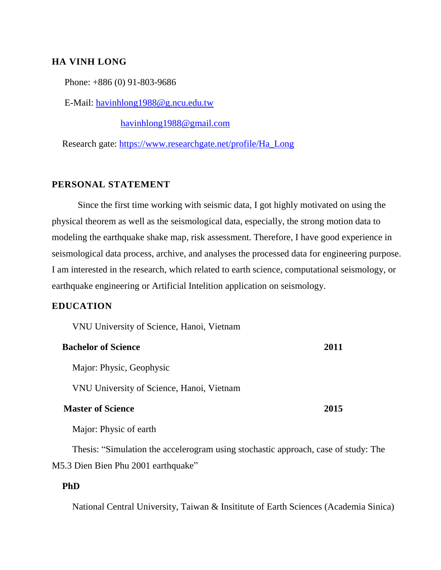## **HA VINH LONG**

Phone: +886 (0) 91-803-9686

E-Mail: [havinhlong1988@g.ncu.edu.tw](mailto:havinhlong1988@g.ncu.edu.tw)

[havinhlong1988@gmail.com](mailto:havinhlong1988@gmail.com)

Research gate: [https://www.researchgate.net/profile/Ha\\_Long](https://www.researchgate.net/profile/Ha_Long)

#### **PERSONAL STATEMENT**

Since the first time working with seismic data, I got highly motivated on using the physical theorem as well as the seismological data, especially, the strong motion data to modeling the earthquake shake map, risk assessment. Therefore, I have good experience in seismological data process, archive, and analyses the processed data for engineering purpose. I am interested in the research, which related to earth science, computational seismology, or earthquake engineering or Artificial Intelition application on seismology.

# **EDUCATION**

VNU University of Science, Hanoi, Vietnam

| <b>Bachelor of Science</b> | <b>2011</b> |
|----------------------------|-------------|
|                            |             |

Major: Physic, Geophysic

VNU University of Science, Hanoi, Vietnam

## **Master of Science 2015**

Major: Physic of earth

Thesis: "Simulation the accelerogram using stochastic approach, case of study: The M5.3 Dien Bien Phu 2001 earthquake"

### **PhD**

National Central University, Taiwan & Insititute of Earth Sciences (Academia Sinica)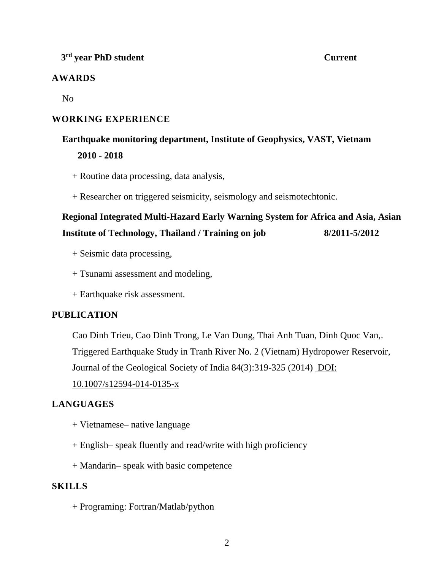# **3 rd year PhD student Current**

# **AWARDS**

No

# **WORKING EXPERIENCE**

# **Earthquake monitoring department, Institute of Geophysics, VAST, Vietnam 2010 - 2018**

- + Routine data processing, data analysis,
- + Researcher on triggered seismicity, seismology and seismotechtonic.

# **Regional Integrated Multi-Hazard Early Warning System for Africa and Asia, Asian Institute of Technology, Thailand / Training on job 8/2011-5/2012**

- + Seismic data processing,
- + Tsunami assessment and modeling,
- + Earthquake risk assessment.

# **PUBLICATION**

Cao Dinh Trieu, Cao Dinh Trong, Le Van Dung, Thai Anh Tuan, Dinh Quoc Van,. Triggered Earthquake Study in Tranh River No. 2 (Vietnam) Hydropower Reservoir,

Journal of the Geological Society of India 84(3):319-325 (2014) DOI:

# [10.1007/s12594-014-0135-x](https://www.researchgate.net/deref/http%3A%2F%2Fdx.doi.org%2F10.1007%2Fs12594-014-0135-x?_sg%5B0%5D=jrV90Tkh2c7bBef4FOnwlKHv3NQ4td6sBp5mqExUJQK7wWzQhpHJZ97xDWSowKXDCGn3iDBRPAep_q4_8Fa3HS2y8A.8pEMf41AKD3zG6um4FJyz7eyeK8tAicfPMViK4t2DlyU_OYE0rjVNUVyPISCj1FHNEijJtu-pCdvif77k_fxSQ)

# **LANGUAGES**

- + Vietnamese– native language
- + English– speak fluently and read/write with high proficiency
- + Mandarin– speak with basic competence

# **SKILLS**

+ Programing: Fortran/Matlab/python